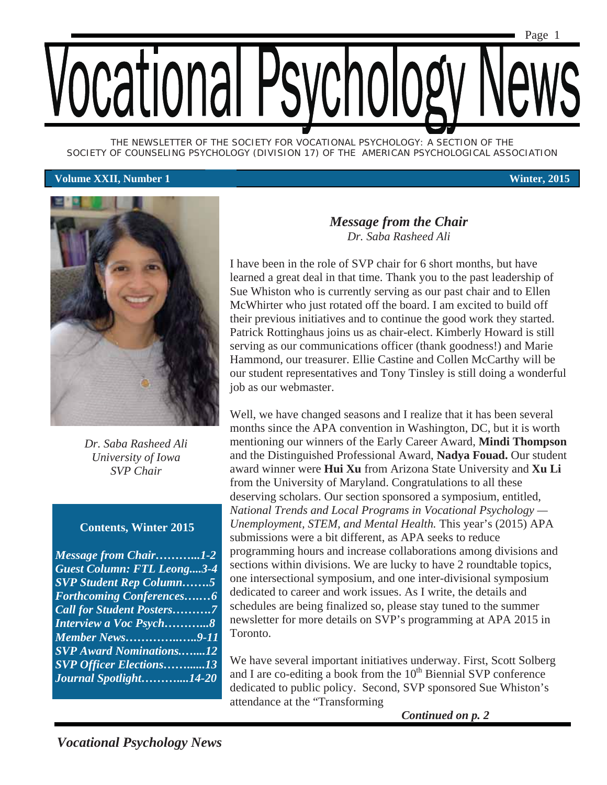

*THE NEWSLETTER OF THE SOCIETY FOR VOCATIONAL PSYCHOLOGY: A SECTION OF THE SOCIETY OF COUNSELING PSYCHOLOGY (DIVISION 17) OF THE AMERICAN PSYCHOLOGICAL ASSOCIATION* 

#### **Volume XXII, Number 1 Winter, 2015**



*Dr. Saba Rasheed Ali University of Iowa SVP Chair* 

#### **Contents, Winter 2015**

*Message from Chair………...1-2 Guest Column: FTL Leong....3-4 SVP Student Rep Column…….5 Forthcoming Conferences….…6 Call for Student Posters……….7 Interview a Voc Psych………...8 Member News…………..…..9-11 SVP Award Nominations.…....12 SVP Officer Elections……......13 Journal Spotlight………....14-20* 

#### *Message from the Chair Dr. Saba Rasheed Ali*

I have been in the role of SVP chair for 6 short months, but have learned a great deal in that time. Thank you to the past leadership of Sue Whiston who is currently serving as our past chair and to Ellen McWhirter who just rotated off the board. I am excited to build off their previous initiatives and to continue the good work they started. Patrick Rottinghaus joins us as chair-elect. Kimberly Howard is still serving as our communications officer (thank goodness!) and Marie Hammond, our treasurer. Ellie Castine and Collen McCarthy will be our student representatives and Tony Tinsley is still doing a wonderful job as our webmaster.

Well, we have changed seasons and I realize that it has been several months since the APA convention in Washington, DC, but it is worth mentioning our winners of the Early Career Award, **Mindi Thompson**  and the Distinguished Professional Award, **Nadya Fouad.** Our student award winner were **Hui Xu** from Arizona State University and **Xu Li**  from the University of Maryland. Congratulations to all these deserving scholars. Our section sponsored a symposium, entitled, *National Trends and Local Programs in Vocational Psychology — Unemployment, STEM, and Mental Health.* This year's (2015) APA submissions were a bit different, as APA seeks to reduce programming hours and increase collaborations among divisions and sections within divisions. We are lucky to have 2 roundtable topics, one intersectional symposium, and one inter-divisional symposium dedicated to career and work issues. As I write, the details and schedules are being finalized so, please stay tuned to the summer newsletter for more details on SVP's programming at APA 2015 in Toronto.

We have several important initiatives underway. First, Scott Solberg and I are co-editing a book from the  $10<sup>th</sup>$  Biennial SVP conference dedicated to public policy. Second, SVP sponsored Sue Whiston's attendance at the "Transforming

*Continued on p. 2*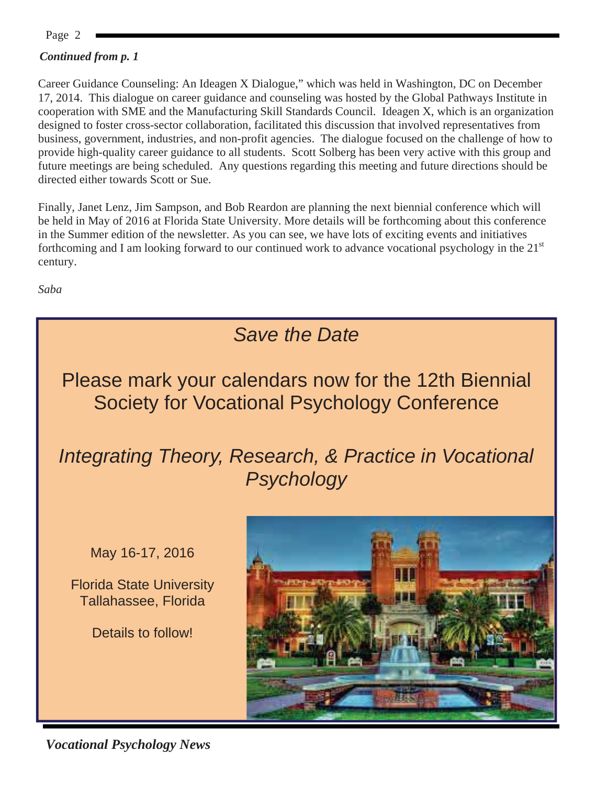Page 2

#### *Continued from p. 1*

Career Guidance Counseling: An Ideagen X Dialogue," which was held in Washington, DC on December 17, 2014. This dialogue on career guidance and counseling was hosted by the Global Pathways Institute in cooperation with SME and the Manufacturing Skill Standards Council. Ideagen X, which is an organization designed to foster cross-sector collaboration, facilitated this discussion that involved representatives from business, government, industries, and non-profit agencies. The dialogue focused on the challenge of how to provide high-quality career guidance to all students. Scott Solberg has been very active with this group and future meetings are being scheduled. Any questions regarding this meeting and future directions should be directed either towards Scott or Sue.

Finally, Janet Lenz, Jim Sampson, and Bob Reardon are planning the next biennial conference which will be held in May of 2016 at Florida State University. More details will be forthcoming about this conference in the Summer edition of the newsletter. As you can see, we have lots of exciting events and initiatives forthcoming and I am looking forward to our continued work to advance vocational psychology in the  $21<sup>st</sup>$ century.

*Saba* 

### *Save the Date*

Please mark your calendars now for the 12th Biennial Society for Vocational Psychology Conference

*Integrating Theory, Research, & Practice in Vocational Psychology* 

May 16-17, 2016

Florida State University Tallahassee, Florida

Details to follow!



*Vocational Psychology News*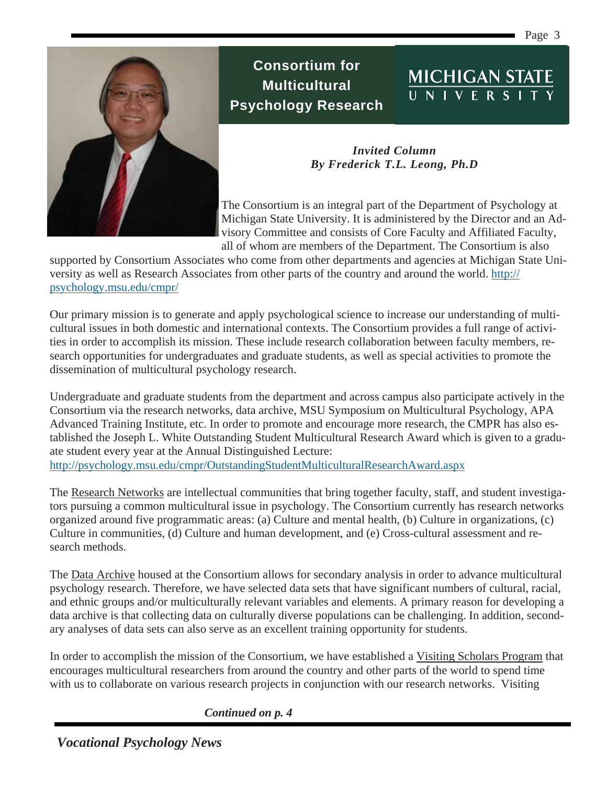Page 3

MICHIGAN STATE



#### **Consortium for Multicultural Psychology Research**

*Invited Column By Frederick T.L. Leong, Ph.D*

The Consortium is an integral part of the Department of Psychology at Michigan State University. It is administered by the Director and an Advisory Committee and consists of Core Faculty and Affiliated Faculty, all of whom are members of the Department. The Consortium is also

supported by Consortium Associates who come from other departments and agencies at Michigan State University as well as Research Associates from other parts of the country and around the world. http:// psychology.msu.edu/cmpr/

Our primary mission is to generate and apply psychological science to increase our understanding of multicultural issues in both domestic and international contexts. The Consortium provides a full range of activities in order to accomplish its mission. These include research collaboration between faculty members, research opportunities for undergraduates and graduate students, as well as special activities to promote the dissemination of multicultural psychology research.

Undergraduate and graduate students from the department and across campus also participate actively in the Consortium via the research networks, data archive, MSU Symposium on Multicultural Psychology, APA Advanced Training Institute, etc. In order to promote and encourage more research, the CMPR has also established the Joseph L. White Outstanding Student Multicultural Research Award which is given to a graduate student every year at the Annual Distinguished Lecture: http://psychology.msu.edu/cmpr/OutstandingStudentMulticulturalResearchAward.aspx

The Research Networks are intellectual communities that bring together faculty, staff, and student investigators pursuing a common multicultural issue in psychology. The Consortium currently has research networks organized around five programmatic areas: (a) Culture and mental health, (b) Culture in organizations, (c) Culture in communities, (d) Culture and human development, and (e) Cross-cultural assessment and research methods.

The Data Archive housed at the Consortium allows for secondary analysis in order to advance multicultural psychology research. Therefore, we have selected data sets that have significant numbers of cultural, racial, and ethnic groups and/or multiculturally relevant variables and elements. A primary reason for developing a data archive is that collecting data on culturally diverse populations can be challenging. In addition, secondary analyses of data sets can also serve as an excellent training opportunity for students.

In order to accomplish the mission of the Consortium, we have established a Visiting Scholars Program that encourages multicultural researchers from around the country and other parts of the world to spend time with us to collaborate on various research projects in conjunction with our research networks. Visiting

*Continued on p. 4*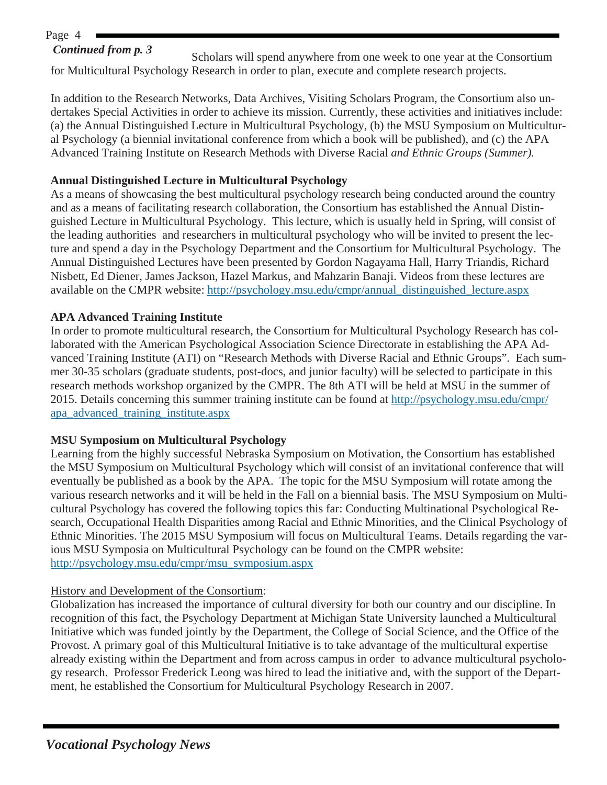#### Page 4

#### *Continued from p. 3*

Scholars will spend anywhere from one week to one year at the Consortium for Multicultural Psychology Research in order to plan, execute and complete research projects.

In addition to the Research Networks, Data Archives, Visiting Scholars Program, the Consortium also undertakes Special Activities in order to achieve its mission. Currently, these activities and initiatives include: (a) the Annual Distinguished Lecture in Multicultural Psychology, (b) the MSU Symposium on Multicultural Psychology (a biennial invitational conference from which a book will be published), and (c) the APA Advanced Training Institute on Research Methods with Diverse Racial *and Ethnic Groups (Summer).* 

#### **Annual Distinguished Lecture in Multicultural Psychology**

As a means of showcasing the best multicultural psychology research being conducted around the country and as a means of facilitating research collaboration, the Consortium has established the Annual Distinguished Lecture in Multicultural Psychology. This lecture, which is usually held in Spring, will consist of the leading authorities and researchers in multicultural psychology who will be invited to present the lecture and spend a day in the Psychology Department and the Consortium for Multicultural Psychology. The Annual Distinguished Lectures have been presented by Gordon Nagayama Hall, Harry Triandis, Richard Nisbett, Ed Diener, James Jackson, Hazel Markus, and Mahzarin Banaji. Videos from these lectures are available on the CMPR website: http://psychology.msu.edu/cmpr/annual\_distinguished\_lecture.aspx

#### **APA Advanced Training Institute**

In order to promote multicultural research, the Consortium for Multicultural Psychology Research has collaborated with the American Psychological Association Science Directorate in establishing the APA Advanced Training Institute (ATI) on "Research Methods with Diverse Racial and Ethnic Groups". Each summer 30-35 scholars (graduate students, post-docs, and junior faculty) will be selected to participate in this research methods workshop organized by the CMPR. The 8th ATI will be held at MSU in the summer of 2015. Details concerning this summer training institute can be found at http://psychology.msu.edu/cmpr/ apa\_advanced\_training\_institute.aspx

#### **MSU Symposium on Multicultural Psychology**

Learning from the highly successful Nebraska Symposium on Motivation, the Consortium has established the MSU Symposium on Multicultural Psychology which will consist of an invitational conference that will eventually be published as a book by the APA. The topic for the MSU Symposium will rotate among the various research networks and it will be held in the Fall on a biennial basis. The MSU Symposium on Multicultural Psychology has covered the following topics this far: Conducting Multinational Psychological Research, Occupational Health Disparities among Racial and Ethnic Minorities, and the Clinical Psychology of Ethnic Minorities. The 2015 MSU Symposium will focus on Multicultural Teams. Details regarding the various MSU Symposia on Multicultural Psychology can be found on the CMPR website: http://psychology.msu.edu/cmpr/msu\_symposium.aspx

#### History and Development of the Consortium:

Globalization has increased the importance of cultural diversity for both our country and our discipline. In recognition of this fact, the Psychology Department at Michigan State University launched a Multicultural Initiative which was funded jointly by the Department, the College of Social Science, and the Office of the Provost. A primary goal of this Multicultural Initiative is to take advantage of the multicultural expertise already existing within the Department and from across campus in order to advance multicultural psychology research. Professor Frederick Leong was hired to lead the initiative and, with the support of the Department, he established the Consortium for Multicultural Psychology Research in 2007.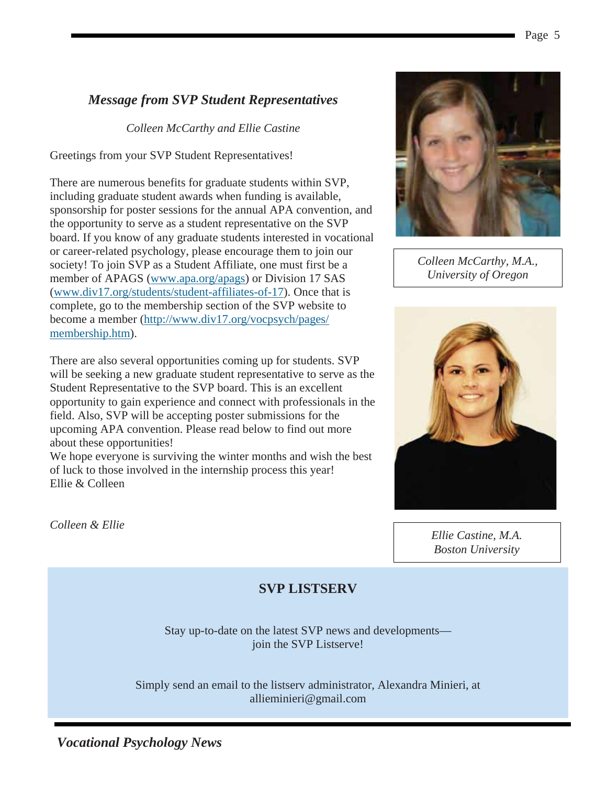#### *Message from SVP Student Representatives*

*Colleen McCarthy and Ellie Castine* 

Greetings from your SVP Student Representatives!

There are numerous benefits for graduate students within SVP, including graduate student awards when funding is available, sponsorship for poster sessions for the annual APA convention, and the opportunity to serve as a student representative on the SVP board. If you know of any graduate students interested in vocational or career-related psychology, please encourage them to join our society! To join SVP as a Student Affiliate, one must first be a member of APAGS (www.apa.org/apags) or Division 17 SAS (www.div17.org/students/student-affiliates-of-17). Once that is complete, go to the membership section of the SVP website to become a member (http://www.div17.org/vocpsych/pages/ membership.htm).

There are also several opportunities coming up for students. SVP will be seeking a new graduate student representative to serve as the Student Representative to the SVP board. This is an excellent opportunity to gain experience and connect with professionals in the field. Also, SVP will be accepting poster submissions for the upcoming APA convention. Please read below to find out more about these opportunities!

We hope everyone is surviving the winter months and wish the best of luck to those involved in the internship process this year! Ellie & Colleen



*Colleen McCarthy, M.A., University of Oregon*



*Ellie Castine, M.A. Boston University*

*Colleen & Ellie* 

#### **SVP LISTSERV**

Stay up-to-date on the latest SVP news and developments join the SVP Listserve!

Simply send an email to the listserv administrator, Alexandra Minieri, at allieminieri@gmail.com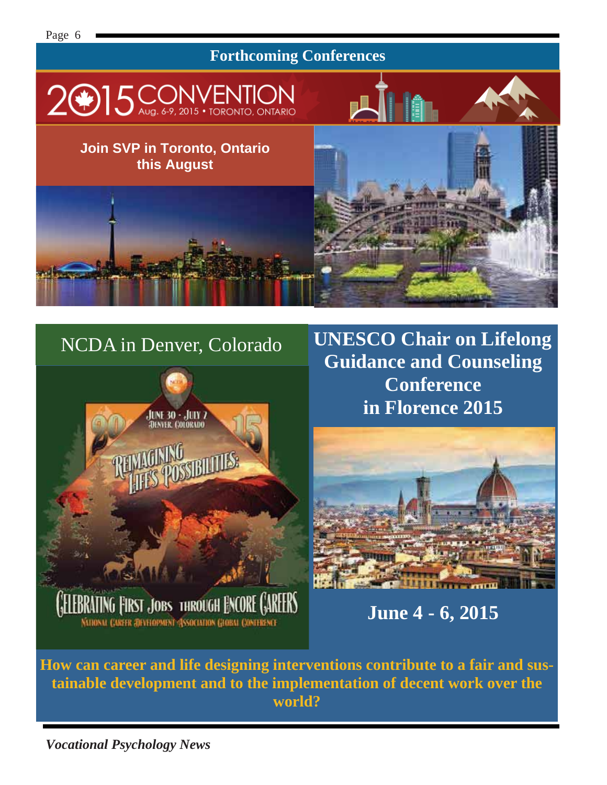#### **Forthcoming Conferences**



#### **Join SVP in Toronto, Ontario this August**

# NCDA in Denver, Colorado



**UNESCO Chair on Lifelong Guidance and Counseling Conference in Florence 2015** 

Hâ



**June 4 - 6, 2015** 

**How can career and life designing interventions contribute to a fair and sustainable development and to the implementation of decent work over the world?**

*Vocational Psychology News*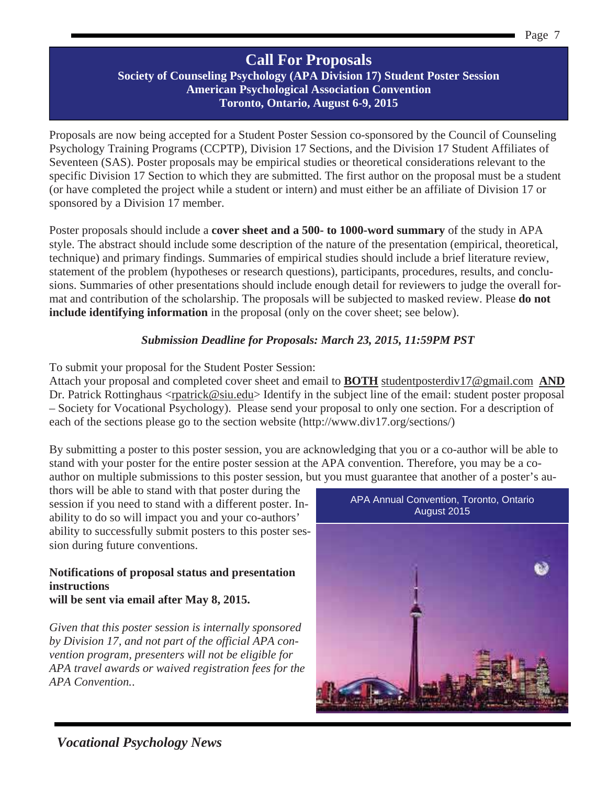#### **Call For Proposals**

#### **Society of Counseling Psychology (APA Division 17) Student Poster Session American Psychological Association Convention Toronto, Ontario, August 6-9, 2015**

Proposals are now being accepted for a Student Poster Session co-sponsored by the Council of Counseling Psychology Training Programs (CCPTP), Division 17 Sections, and the Division 17 Student Affiliates of Seventeen (SAS). Poster proposals may be empirical studies or theoretical considerations relevant to the specific Division 17 Section to which they are submitted. The first author on the proposal must be a student (or have completed the project while a student or intern) and must either be an affiliate of Division 17 or sponsored by a Division 17 member.

Poster proposals should include a **cover sheet and a 500- to 1000-word summary** of the study in APA style. The abstract should include some description of the nature of the presentation (empirical, theoretical, technique) and primary findings. Summaries of empirical studies should include a brief literature review, statement of the problem (hypotheses or research questions), participants, procedures, results, and conclusions. Summaries of other presentations should include enough detail for reviewers to judge the overall format and contribution of the scholarship. The proposals will be subjected to masked review. Please **do not include identifying information** in the proposal (only on the cover sheet; see below).

#### *Submission Deadline for Proposals: March 23, 2015, 11:59PM PST*

To submit your proposal for the Student Poster Session:

Attach your proposal and completed cover sheet and email to **BOTH** studentposterdiv17@gmail.com **AND** Dr. Patrick Rottinghaus <rpatrick@siu.edu> Identify in the subject line of the email: student poster proposal – Society for Vocational Psychology). Please send your proposal to only one section. For a description of each of the sections please go to the section website (http://www.div17.org/sections/)

By submitting a poster to this poster session, you are acknowledging that you or a co-author will be able to stand with your poster for the entire poster session at the APA convention. Therefore, you may be a coauthor on multiple submissions to this poster session, but you must guarantee that another of a poster's au-

thors will be able to stand with that poster during the session if you need to stand with a different poster. Inability to do so will impact you and your co-authors' ability to successfully submit posters to this poster session during future conventions.

#### **Notifications of proposal status and presentation instructions will be sent via email after May 8, 2015.**

*Given that this poster session is internally sponsored by Division 17, and not part of the official APA convention program, presenters will not be eligible for APA travel awards or waived registration fees for the APA Convention.*.

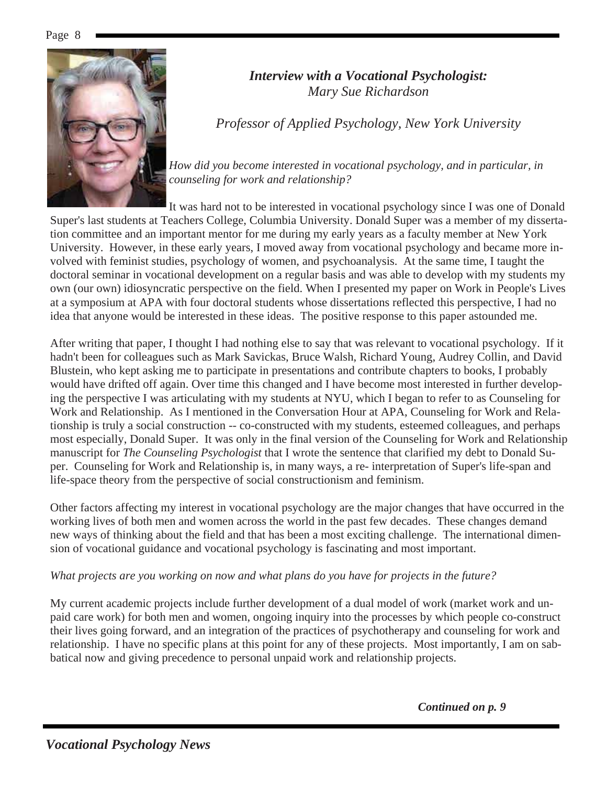

#### *Interview with a Vocational Psychologist: Mary Sue Richardson*

*Professor of Applied Psychology, New York University* 

*How did you become interested in vocational psychology, and in particular, in counseling for work and relationship?* 

It was hard not to be interested in vocational psychology since I was one of Donald Super's last students at Teachers College, Columbia University. Donald Super was a member of my dissertation committee and an important mentor for me during my early years as a faculty member at New York University. However, in these early years, I moved away from vocational psychology and became more involved with feminist studies, psychology of women, and psychoanalysis. At the same time, I taught the doctoral seminar in vocational development on a regular basis and was able to develop with my students my own (our own) idiosyncratic perspective on the field. When I presented my paper on Work in People's Lives at a symposium at APA with four doctoral students whose dissertations reflected this perspective, I had no idea that anyone would be interested in these ideas. The positive response to this paper astounded me.

After writing that paper, I thought I had nothing else to say that was relevant to vocational psychology. If it hadn't been for colleagues such as Mark Savickas, Bruce Walsh, Richard Young, Audrey Collin, and David Blustein, who kept asking me to participate in presentations and contribute chapters to books, I probably would have drifted off again. Over time this changed and I have become most interested in further developing the perspective I was articulating with my students at NYU, which I began to refer to as Counseling for Work and Relationship. As I mentioned in the Conversation Hour at APA, Counseling for Work and Relationship is truly a social construction -- co-constructed with my students, esteemed colleagues, and perhaps most especially, Donald Super. It was only in the final version of the Counseling for Work and Relationship manuscript for *The Counseling Psychologist* that I wrote the sentence that clarified my debt to Donald Super. Counseling for Work and Relationship is, in many ways, a re- interpretation of Super's life-span and life-space theory from the perspective of social constructionism and feminism.

Other factors affecting my interest in vocational psychology are the major changes that have occurred in the working lives of both men and women across the world in the past few decades. These changes demand new ways of thinking about the field and that has been a most exciting challenge. The international dimension of vocational guidance and vocational psychology is fascinating and most important.

#### *What projects are you working on now and what plans do you have for projects in the future?*

My current academic projects include further development of a dual model of work (market work and unpaid care work) for both men and women, ongoing inquiry into the processes by which people co-construct their lives going forward, and an integration of the practices of psychotherapy and counseling for work and relationship. I have no specific plans at this point for any of these projects. Most importantly, I am on sabbatical now and giving precedence to personal unpaid work and relationship projects.

*Continued on p. 9*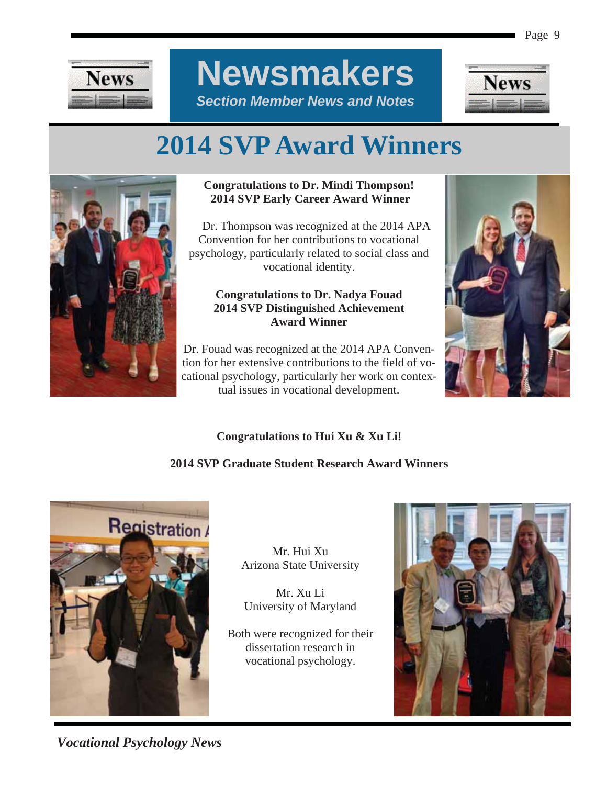

**Newsmakers**  *Section Member News and Notes* 



## **2014 SVP Award Winners**



#### **Congratulations to Dr. Mindi Thompson! 2014 SVP Early Career Award Winner**

 Dr. Thompson was recognized at the 2014 APA Convention for her contributions to vocational psychology, particularly related to social class and vocational identity.

#### **Congratulations to Dr. Nadya Fouad 2014 SVP Distinguished Achievement Award Winner**

Dr. Fouad was recognized at the 2014 APA Convention for her extensive contributions to the field of vocational psychology, particularly her work on contextual issues in vocational development.



#### **Congratulations to Hui Xu & Xu Li!**

#### **2014 SVP Graduate Student Research Award Winners**



Mr. Hui Xu Arizona State University

Mr. Xu Li University of Maryland

Both were recognized for their dissertation research in vocational psychology.



*Vocational Psychology News*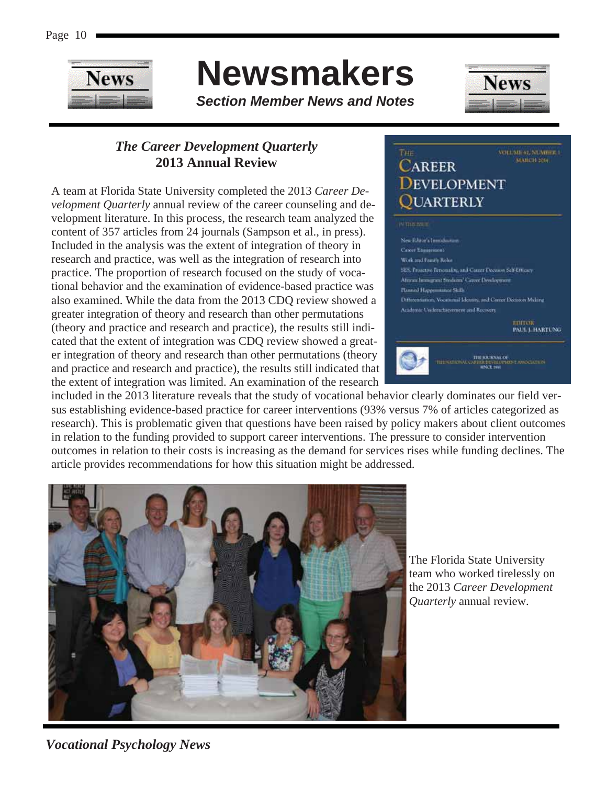

## **Newsmakers**

*Section Member News and Notes* 



VOLUME 61, NUMBER 1

#### *The Career Development Quarterly*  **2013 Annual Review**

A team at Florida State University completed the 2013 *Career Development Quarterly* annual review of the career counseling and development literature. In this process, the research team analyzed the content of 357 articles from 24 journals (Sampson et al., in press). Included in the analysis was the extent of integration of theory in research and practice, was well as the integration of research into practice. The proportion of research focused on the study of vocational behavior and the examination of evidence-based practice was also examined. While the data from the 2013 CDQ review showed a greater integration of theory and research than other permutations (theory and practice and research and practice), the results still indicated that the extent of integration was CDQ review showed a greater integration of theory and research than other permutations (theory and practice and research and practice), the results still indicated that the extent of integration was limited. An examination of the research



included in the 2013 literature reveals that the study of vocational behavior clearly dominates our field versus establishing evidence-based practice for career interventions (93% versus 7% of articles categorized as research). This is problematic given that questions have been raised by policy makers about client outcomes in relation to the funding provided to support career interventions. The pressure to consider intervention outcomes in relation to their costs is increasing as the demand for services rises while funding declines. The article provides recommendations for how this situation might be addressed.



The Florida State University team who worked tirelessly on the 2013 *Career Development Quarterly* annual review.

*Vocational Psychology News*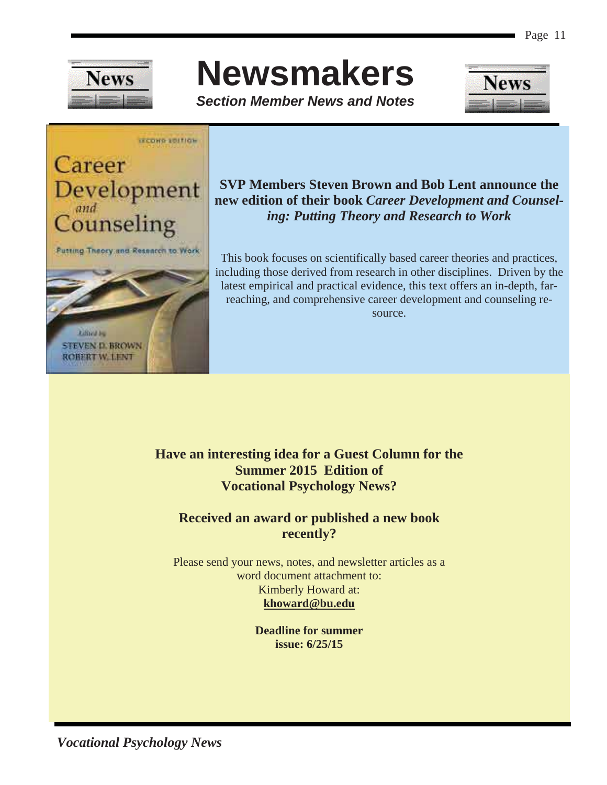

## **Newsmakers**

*Section Member News and Notes* 





#### **SVP Members Steven Brown and Bob Lent announce the new edition of their book** *Career Development and Counseling: Putting Theory and Research to Work*

This book focuses on scientifically based career theories and practices, including those derived from research in other disciplines. Driven by the latest empirical and practical evidence, this text offers an in-depth, farreaching, and comprehensive career development and counseling resource.

#### **Have an interesting idea for a Guest Column for the Summer 2015 Edition of Vocational Psychology News?**

#### **Received an award or published a new book recently?**

Please send your news, notes, and newsletter articles as a word document attachment to: Kimberly Howard at: **khoward@bu.edu** 

> **Deadline for summer issue: 6/25/15**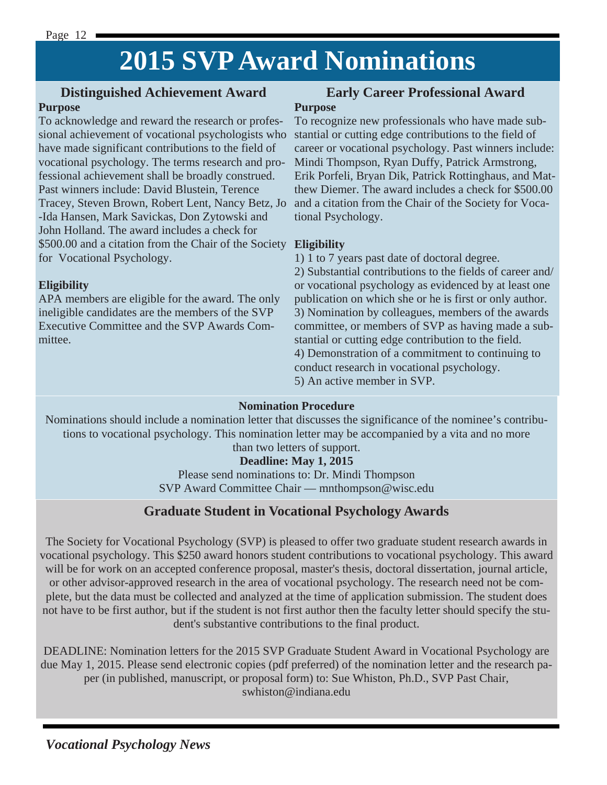## **2015 SVP Award Nominations**

#### **Distinguished Achievement Award**

#### **Purpose**

To acknowledge and reward the research or professional achievement of vocational psychologists who have made significant contributions to the field of vocational psychology. The terms research and professional achievement shall be broadly construed. Past winners include: David Blustein, Terence -Ida Hansen, Mark Savickas, Don Zytowski and John Holland. The award includes a check for \$500.00 and a citation from the Chair of the Society **Eligibility**  for Vocational Psychology.

#### **Eligibility**

APA members are eligible for the award. The only ineligible candidates are the members of the SVP Executive Committee and the SVP Awards Committee.

#### **Early Career Professional Award Purpose**

Tracey, Steven Brown, Robert Lent, Nancy Betz, Jo and a citation from the Chair of the Society for Voca-To recognize new professionals who have made substantial or cutting edge contributions to the field of career or vocational psychology. Past winners include: Mindi Thompson, Ryan Duffy, Patrick Armstrong, Erik Porfeli, Bryan Dik, Patrick Rottinghaus, and Matthew Diemer. The award includes a check for \$500.00 tional Psychology.

1) 1 to 7 years past date of doctoral degree.

2) Substantial contributions to the fields of career and/ or vocational psychology as evidenced by at least one publication on which she or he is first or only author. 3) Nomination by colleagues, members of the awards committee, or members of SVP as having made a substantial or cutting edge contribution to the field. 4) Demonstration of a commitment to continuing to conduct research in vocational psychology. 5) An active member in SVP.

#### **Nomination Procedure**

Nominations should include a nomination letter that discusses the significance of the nominee's contributions to vocational psychology. This nomination letter may be accompanied by a vita and no more than two letters of support.

#### **Deadline: May 1, 2015**

Please send nominations to: Dr. Mindi Thompson SVP Award Committee Chair — mnthompson@wisc.edu

#### **Graduate Student in Vocational Psychology Awards**

The Society for Vocational Psychology (SVP) is pleased to offer two graduate student research awards in vocational psychology. This \$250 award honors student contributions to vocational psychology. This award will be for work on an accepted conference proposal, master's thesis, doctoral dissertation, journal article, or other advisor-approved research in the area of vocational psychology. The research need not be complete, but the data must be collected and analyzed at the time of application submission. The student does not have to be first author, but if the student is not first author then the faculty letter should specify the student's substantive contributions to the final product.

DEADLINE: Nomination letters for the 2015 SVP Graduate Student Award in Vocational Psychology are due May 1, 2015. Please send electronic copies (pdf preferred) of the nomination letter and the research paper (in published, manuscript, or proposal form) to: Sue Whiston, Ph.D., SVP Past Chair, swhiston@indiana.edu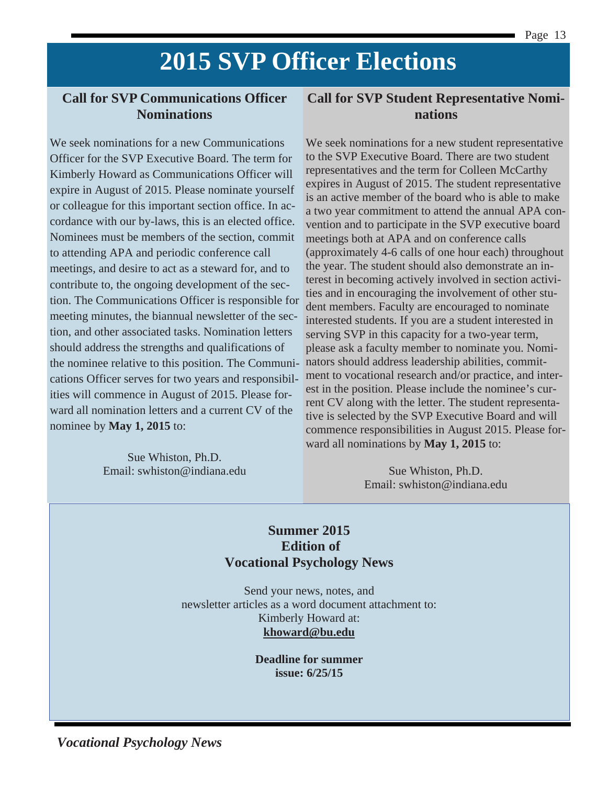### **2015 SVP Officer Elections**

#### **Call for SVP Communications Officer Nominations**

We seek nominations for a new Communications Officer for the SVP Executive Board. The term for Kimberly Howard as Communications Officer will expire in August of 2015. Please nominate yourself or colleague for this important section office. In accordance with our by-laws, this is an elected office. Nominees must be members of the section, commit to attending APA and periodic conference call meetings, and desire to act as a steward for, and to contribute to, the ongoing development of the section. The Communications Officer is responsible for meeting minutes, the biannual newsletter of the section, and other associated tasks. Nomination letters should address the strengths and qualifications of the nominee relative to this position. The Communications Officer serves for two years and responsibilities will commence in August of 2015. Please forward all nomination letters and a current CV of the nominee by **May 1, 2015** to:

> Sue Whiston, Ph.D. Email: swhiston@indiana.edu

#### **Call for SVP Student Representative Nominations**

We seek nominations for a new student representative to the SVP Executive Board. There are two student representatives and the term for Colleen McCarthy expires in August of 2015. The student representative is an active member of the board who is able to make a two year commitment to attend the annual APA convention and to participate in the SVP executive board meetings both at APA and on conference calls (approximately 4-6 calls of one hour each) throughout the year. The student should also demonstrate an interest in becoming actively involved in section activities and in encouraging the involvement of other student members. Faculty are encouraged to nominate interested students. If you are a student interested in serving SVP in this capacity for a two-year term, please ask a faculty member to nominate you. Nominators should address leadership abilities, commitment to vocational research and/or practice, and interest in the position. Please include the nominee's current CV along with the letter. The student representative is selected by the SVP Executive Board and will commence responsibilities in August 2015. Please forward all nominations by **May 1, 2015** to:

> Sue Whiston, Ph.D. Email: swhiston@indiana.edu

#### **Summer 2015 Edition of Vocational Psychology News**

Send your news, notes, and newsletter articles as a word document attachment to: Kimberly Howard at: **khoward@bu.edu** 

> **Deadline for summer issue: 6/25/15**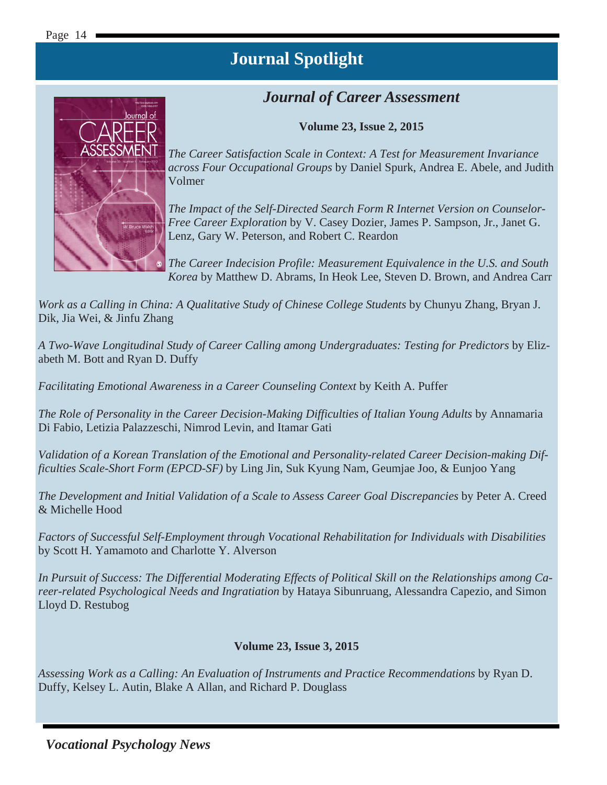#### *Journal of Career Assessment*

**Volume 23, Issue 2, 2015** 



*The Career Satisfaction Scale in Context: A Test for Measurement Invariance across Four Occupational Groups* by Daniel Spurk, Andrea E. Abele, and Judith Volmer

*The Impact of the Self-Directed Search Form R Internet Version on Counselor-Free Career Exploration* by V. Casey Dozier, James P. Sampson, Jr., Janet G. Lenz, Gary W. Peterson, and Robert C. Reardon

*The Career Indecision Profile: Measurement Equivalence in the U.S. and South Korea* by Matthew D. Abrams, In Heok Lee, Steven D. Brown, and Andrea Carr

*Work as a Calling in China: A Qualitative Study of Chinese College Students* by Chunyu Zhang, Bryan J. Dik, Jia Wei, & Jinfu Zhang

*A Two-Wave Longitudinal Study of Career Calling among Undergraduates: Testing for Predictors* by Elizabeth M. Bott and Ryan D. Duffy

*Facilitating Emotional Awareness in a Career Counseling Context* by Keith A. Puffer

*The Role of Personality in the Career Decision-Making Difficulties of Italian Young Adults* by Annamaria Di Fabio, Letizia Palazzeschi, Nimrod Levin, and Itamar Gati

*Validation of a Korean Translation of the Emotional and Personality-related Career Decision-making Difficulties Scale-Short Form (EPCD-SF)* by Ling Jin, Suk Kyung Nam, Geumjae Joo, & Eunjoo Yang

*The Development and Initial Validation of a Scale to Assess Career Goal Discrepancies* by Peter A. Creed & Michelle Hood

*Factors of Successful Self-Employment through Vocational Rehabilitation for Individuals with Disabilities* by Scott H. Yamamoto and Charlotte Y. Alverson

*In Pursuit of Success: The Differential Moderating Effects of Political Skill on the Relationships among Career-related Psychological Needs and Ingratiation* by Hataya Sibunruang, Alessandra Capezio, and Simon Lloyd D. Restubog

#### **Volume 23, Issue 3, 2015**

*Assessing Work as a Calling: An Evaluation of Instruments and Practice Recommendations* by Ryan D. Duffy, Kelsey L. Autin, Blake A Allan, and Richard P. Douglass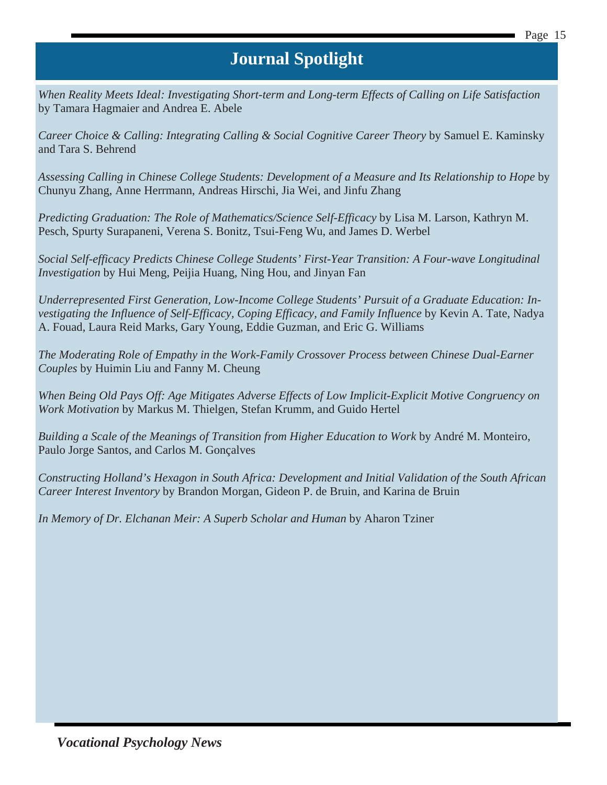*When Reality Meets Ideal: Investigating Short-term and Long-term Effects of Calling on Life Satisfaction* by Tamara Hagmaier and Andrea E. Abele

*Career Choice & Calling: Integrating Calling & Social Cognitive Career Theory* by Samuel E. Kaminsky and Tara S. Behrend

*Assessing Calling in Chinese College Students: Development of a Measure and Its Relationship to Hope* by Chunyu Zhang, Anne Herrmann, Andreas Hirschi, Jia Wei, and Jinfu Zhang

*Predicting Graduation: The Role of Mathematics/Science Self-Efficacy* by Lisa M. Larson, Kathryn M. Pesch, Spurty Surapaneni, Verena S. Bonitz, Tsui-Feng Wu, and James D. Werbel

*Social Self-efficacy Predicts Chinese College Students' First-Year Transition: A Four-wave Longitudinal Investigation* by Hui Meng, Peijia Huang, Ning Hou, and Jinyan Fan

*Underrepresented First Generation, Low-Income College Students' Pursuit of a Graduate Education: In*vestigating the Influence of Self-Efficacy, Coping Efficacy, and Family Influence by Kevin A. Tate, Nadya A. Fouad, Laura Reid Marks, Gary Young, Eddie Guzman, and Eric G. Williams

*The Moderating Role of Empathy in the Work-Family Crossover Process between Chinese Dual-Earner Couples* by Huimin Liu and Fanny M. Cheung

*When Being Old Pays Off: Age Mitigates Adverse Effects of Low Implicit-Explicit Motive Congruency on Work Motivation* by Markus M. Thielgen, Stefan Krumm, and Guido Hertel

*Building a Scale of the Meanings of Transition from Higher Education to Work* by André M. Monteiro, Paulo Jorge Santos, and Carlos M. Gonçalves

*Constructing Holland's Hexagon in South Africa: Development and Initial Validation of the South African Career Interest Inventory* by Brandon Morgan, Gideon P. de Bruin, and Karina de Bruin

*In Memory of Dr. Elchanan Meir: A Superb Scholar and Human* by Aharon Tziner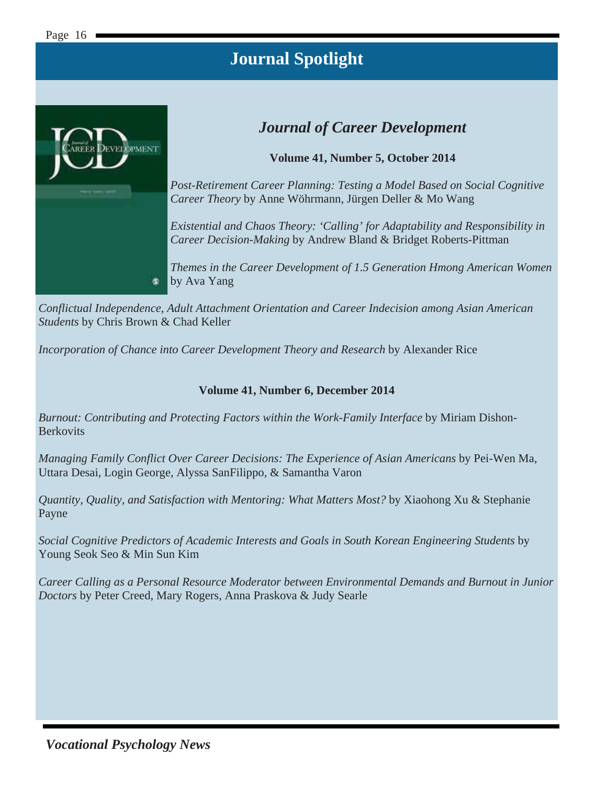

#### *Journal of Career Development*

**Volume 41, Number 5, October 2014** 

*Post-Retirement Career Planning: Testing a Model Based on Social Cognitive Career Theory* by Anne Wöhrmann, Jürgen Deller & Mo Wang

*Existential and Chaos Theory: 'Calling' for Adaptability and Responsibility in Career Decision-Making* by Andrew Bland & Bridget Roberts-Pittman

*Themes in the Career Development of 1.5 Generation Hmong American Women* by Ava Yang

*Conflictual Independence, Adult Attachment Orientation and Career Indecision among Asian American Students* by Chris Brown & Chad Keller

*Incorporation of Chance into Career Development Theory and Research* by Alexander Rice

#### **Volume 41, Number 6, December 2014**

*Burnout: Contributing and Protecting Factors within the Work-Family Interface* by Miriam Dishon-**Berkovits** 

*Managing Family Conflict Over Career Decisions: The Experience of Asian Americans* by Pei-Wen Ma, Uttara Desai, Login George, Alyssa SanFilippo, & Samantha Varon

*Quantity, Quality, and Satisfaction with Mentoring: What Matters Most?* by Xiaohong Xu & Stephanie Payne

*Social Cognitive Predictors of Academic Interests and Goals in South Korean Engineering Students* by Young Seok Seo & Min Sun Kim

*Career Calling as a Personal Resource Moderator between Environmental Demands and Burnout in Junior Doctors* by Peter Creed, Mary Rogers, Anna Praskova & Judy Searle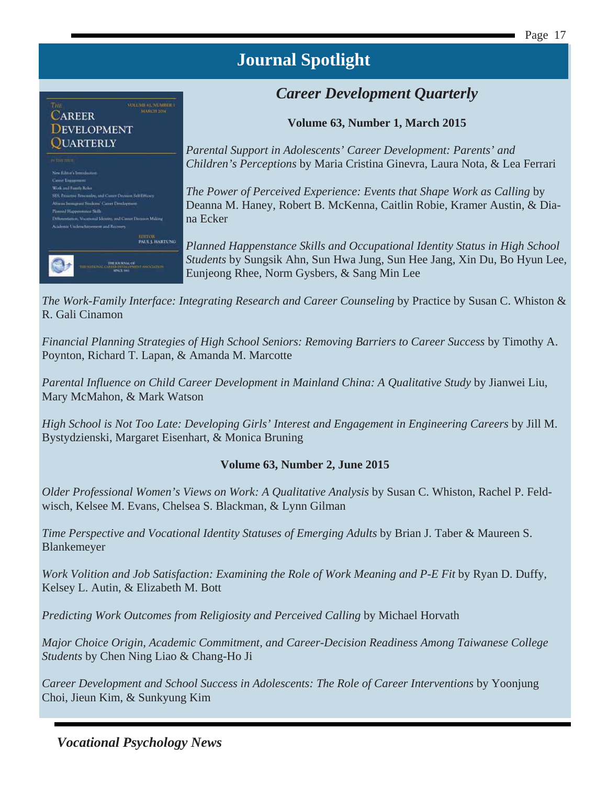#### *Career Development Quarterly*

**Volume 63, Number 1, March 2015** 

*Parental Support in Adolescents' Career Development: Parents' and Children's Perceptions* by Maria Cristina Ginevra, Laura Nota, & Lea Ferrari

*The Power of Perceived Experience: Events that Shape Work as Calling* by Deanna M. Haney, Robert B. McKenna, Caitlin Robie, Kramer Austin, & Diana Ecker

*Planned Happenstance Skills and Occupational Identity Status in High School Students* by Sungsik Ahn, Sun Hwa Jung, Sun Hee Jang, Xin Du, Bo Hyun Lee, Eunjeong Rhee, Norm Gysbers, & Sang Min Lee

*The Work-Family Interface: Integrating Research and Career Counseling* by Practice by Susan C. Whiston & R. Gali Cinamon

*Financial Planning Strategies of High School Seniors: Removing Barriers to Career Success* by Timothy A. Poynton, Richard T. Lapan, & Amanda M. Marcotte

Parental Influence on Child Career Development in Mainland China: A Qualitative Study by Jianwei Liu, Mary McMahon, & Mark Watson

*High School is Not Too Late: Developing Girls' Interest and Engagement in Engineering Careers* by Jill M. Bystydzienski, Margaret Eisenhart, & Monica Bruning

#### **Volume 63, Number 2, June 2015**

*Older Professional Women's Views on Work: A Qualitative Analysis* by Susan C. Whiston, Rachel P. Feldwisch, Kelsee M. Evans, Chelsea S. Blackman, & Lynn Gilman

*Time Perspective and Vocational Identity Statuses of Emerging Adults* by Brian J. Taber & Maureen S. Blankemeyer

Work Volition and Job Satisfaction: Examining the Role of Work Meaning and P-E Fit by Ryan D. Duffy, Kelsey L. Autin, & Elizabeth M. Bott

*Predicting Work Outcomes from Religiosity and Perceived Calling* by Michael Horvath

*Major Choice Origin, Academic Commitment, and Career-Decision Readiness Among Taiwanese College Students* by Chen Ning Liao & Chang-Ho Ji

*Career Development and School Success in Adolescents: The Role of Career Interventions* by Yoonjung Choi, Jieun Kim, & Sunkyung Kim

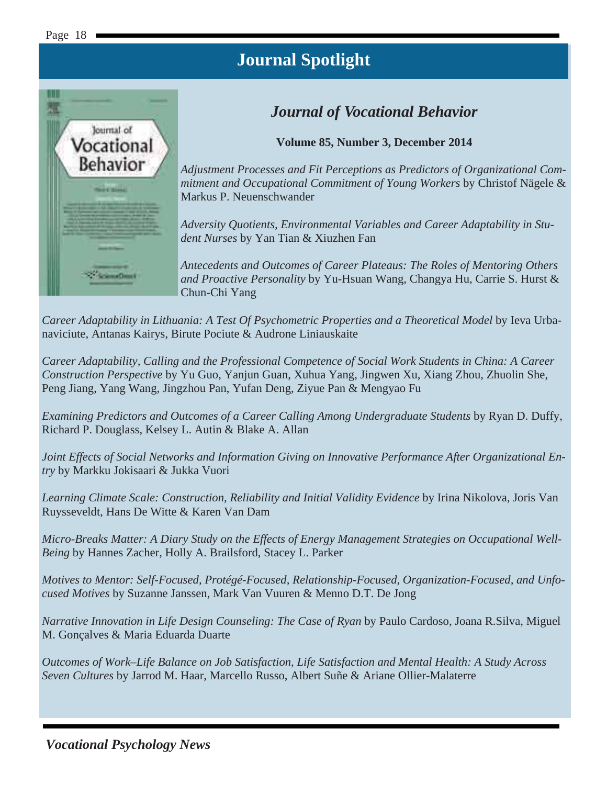

#### *Journal of Vocational Behavior*

**Volume 85, Number 3, December 2014** 

*Adjustment Processes and Fit Perceptions as Predictors of Organizational Commitment and Occupational Commitment of Young Workers* by Christof Nägele & Markus P. Neuenschwander

*Adversity Quotients, Environmental Variables and Career Adaptability in Student Nurses* by Yan Tian & Xiuzhen Fan

*Antecedents and Outcomes of Career Plateaus: The Roles of Mentoring Others and Proactive Personality* by Yu-Hsuan Wang, Changya Hu, Carrie S. Hurst & Chun-Chi Yang

*Career Adaptability in Lithuania: A Test Of Psychometric Properties and a Theoretical Model* by Ieva Urbanaviciute, Antanas Kairys, Birute Pociute & Audrone Liniauskaite

*Career Adaptability, Calling and the Professional Competence of Social Work Students in China: A Career Construction Perspective* by Yu Guo, Yanjun Guan, Xuhua Yang, Jingwen Xu, Xiang Zhou, Zhuolin She, Peng Jiang, Yang Wang, Jingzhou Pan, Yufan Deng, Ziyue Pan & Mengyao Fu

*Examining Predictors and Outcomes of a Career Calling Among Undergraduate Students* by Ryan D. Duffy, Richard P. Douglass, Kelsey L. Autin & Blake A. Allan

*Joint Effects of Social Networks and Information Giving on Innovative Performance After Organizational Entry* by Markku Jokisaari & Jukka Vuori

*Learning Climate Scale: Construction, Reliability and Initial Validity Evidence* by Irina Nikolova, Joris Van Ruysseveldt, Hans De Witte & Karen Van Dam

*Micro-Breaks Matter: A Diary Study on the Effects of Energy Management Strategies on Occupational Well-Being* by Hannes Zacher, Holly A. Brailsford, Stacey L. Parker

*Motives to Mentor: Self-Focused, Protégé-Focused, Relationship-Focused, Organization-Focused, and Unfocused Motives* by Suzanne Janssen, Mark Van Vuuren & Menno D.T. De Jong

*Narrative Innovation in Life Design Counseling: The Case of Ryan* by Paulo Cardoso, Joana R.Silva, Miguel M. Gonçalves & Maria Eduarda Duarte

*Outcomes of Work–Life Balance on Job Satisfaction, Life Satisfaction and Mental Health: A Study Across Seven Cultures* by Jarrod M. Haar, Marcello Russo, Albert Suñe & Ariane Ollier-Malaterre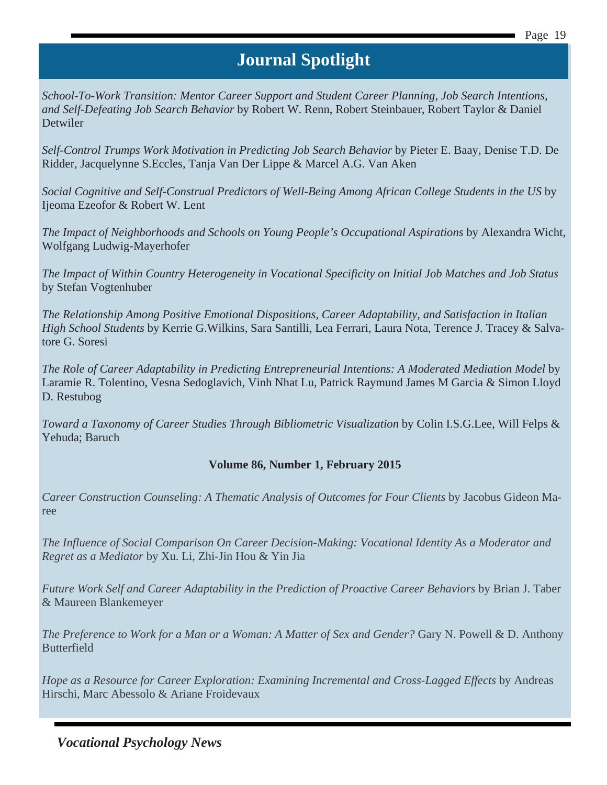*School-To-Work Transition: Mentor Career Support and Student Career Planning, Job Search Intentions, and Self-Defeating Job Search Behavior* by Robert W. Renn, Robert Steinbauer, Robert Taylor & Daniel Detwiler

*Self-Control Trumps Work Motivation in Predicting Job Search Behavior* by Pieter E. Baay, Denise T.D. De Ridder, Jacquelynne S.Eccles, Tanja Van Der Lippe & Marcel A.G. Van Aken

*Social Cognitive and Self-Construal Predictors of Well-Being Among African College Students in the US* by Ijeoma Ezeofor & Robert W. Lent

*The Impact of Neighborhoods and Schools on Young People's Occupational Aspirations* by Alexandra Wicht, Wolfgang Ludwig-Mayerhofer

*The Impact of Within Country Heterogeneity in Vocational Specificity on Initial Job Matches and Job Status* by Stefan Vogtenhuber

*The Relationship Among Positive Emotional Dispositions, Career Adaptability, and Satisfaction in Italian High School Students* by Kerrie G.Wilkins, Sara Santilli, Lea Ferrari, Laura Nota, Terence J. Tracey & Salvatore G. Soresi

*The Role of Career Adaptability in Predicting Entrepreneurial Intentions: A Moderated Mediation Model* by Laramie R. Tolentino, Vesna Sedoglavich, Vinh Nhat Lu, Patrick Raymund James M Garcia & Simon Lloyd D. Restubog

*Toward a Taxonomy of Career Studies Through Bibliometric Visualization* by Colin I.S.G.Lee, Will Felps & Yehuda; Baruch

#### **Volume 86, Number 1, February 2015**

*Career Construction Counseling: A Thematic Analysis of Outcomes for Four Clients* by Jacobus Gideon Maree

*The Influence of Social Comparison On Career Decision-Making: Vocational Identity As a Moderator and Regret as a Mediator* by Xu. Li, Zhi-Jin Hou & Yin Jia

*Future Work Self and Career Adaptability in the Prediction of Proactive Career Behaviors* by Brian J. Taber & Maureen Blankemeyer

*The Preference to Work for a Man or a Woman: A Matter of Sex and Gender?* Gary N. Powell & D. Anthony Butterfield

*Hope as a Resource for Career Exploration: Examining Incremental and Cross-Lagged Effects* by Andreas Hirschi, Marc Abessolo & Ariane Froidevaux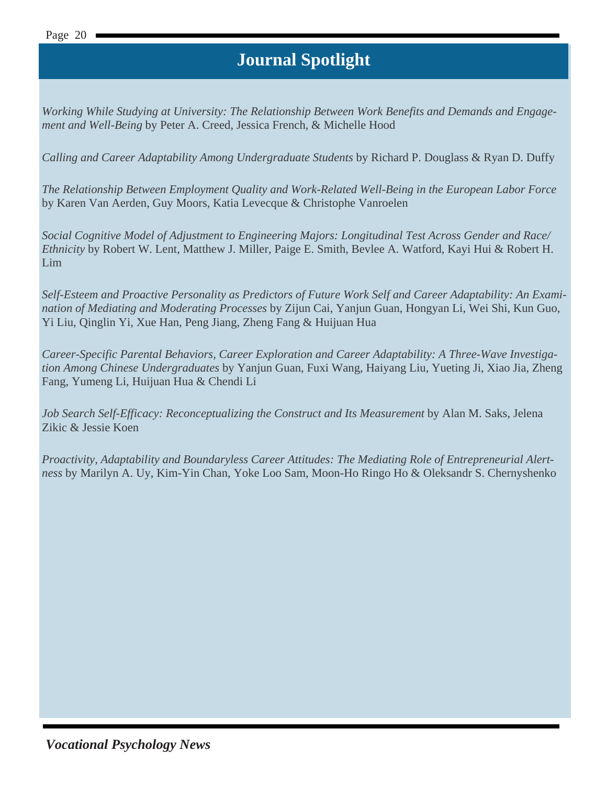*Working While Studying at University: The Relationship Between Work Benefits and Demands and Engagement and Well-Being* by Peter A. Creed, Jessica French, & Michelle Hood

*Calling and Career Adaptability Among Undergraduate Students* by Richard P. Douglass & Ryan D. Duffy

*The Relationship Between Employment Quality and Work-Related Well-Being in the European Labor Force*  by Karen Van Aerden, Guy Moors, Katia Levecque & Christophe Vanroelen

*Social Cognitive Model of Adjustment to Engineering Majors: Longitudinal Test Across Gender and Race/ Ethnicity* by Robert W. Lent, Matthew J. Miller, Paige E. Smith, Bevlee A. Watford, Kayi Hui & Robert H. Lim

*Self-Esteem and Proactive Personality as Predictors of Future Work Self and Career Adaptability: An Examination of Mediating and Moderating Processes* by Zijun Cai, Yanjun Guan, Hongyan Li, Wei Shi, Kun Guo, Yi Liu, Qinglin Yi, Xue Han, Peng Jiang, Zheng Fang & Huijuan Hua

*Career-Specific Parental Behaviors, Career Exploration and Career Adaptability: A Three-Wave Investigation Among Chinese Undergraduates* by Yanjun Guan, Fuxi Wang, Haiyang Liu, Yueting Ji, Xiao Jia, Zheng Fang, Yumeng Li, Huijuan Hua & Chendi Li

*Job Search Self-Efficacy: Reconceptualizing the Construct and Its Measurement* by Alan M. Saks, Jelena Zikic & Jessie Koen

*Proactivity, Adaptability and Boundaryless Career Attitudes: The Mediating Role of Entrepreneurial Alertness* by Marilyn A. Uy, Kim-Yin Chan, Yoke Loo Sam, Moon-Ho Ringo Ho & Oleksandr S. Chernyshenko